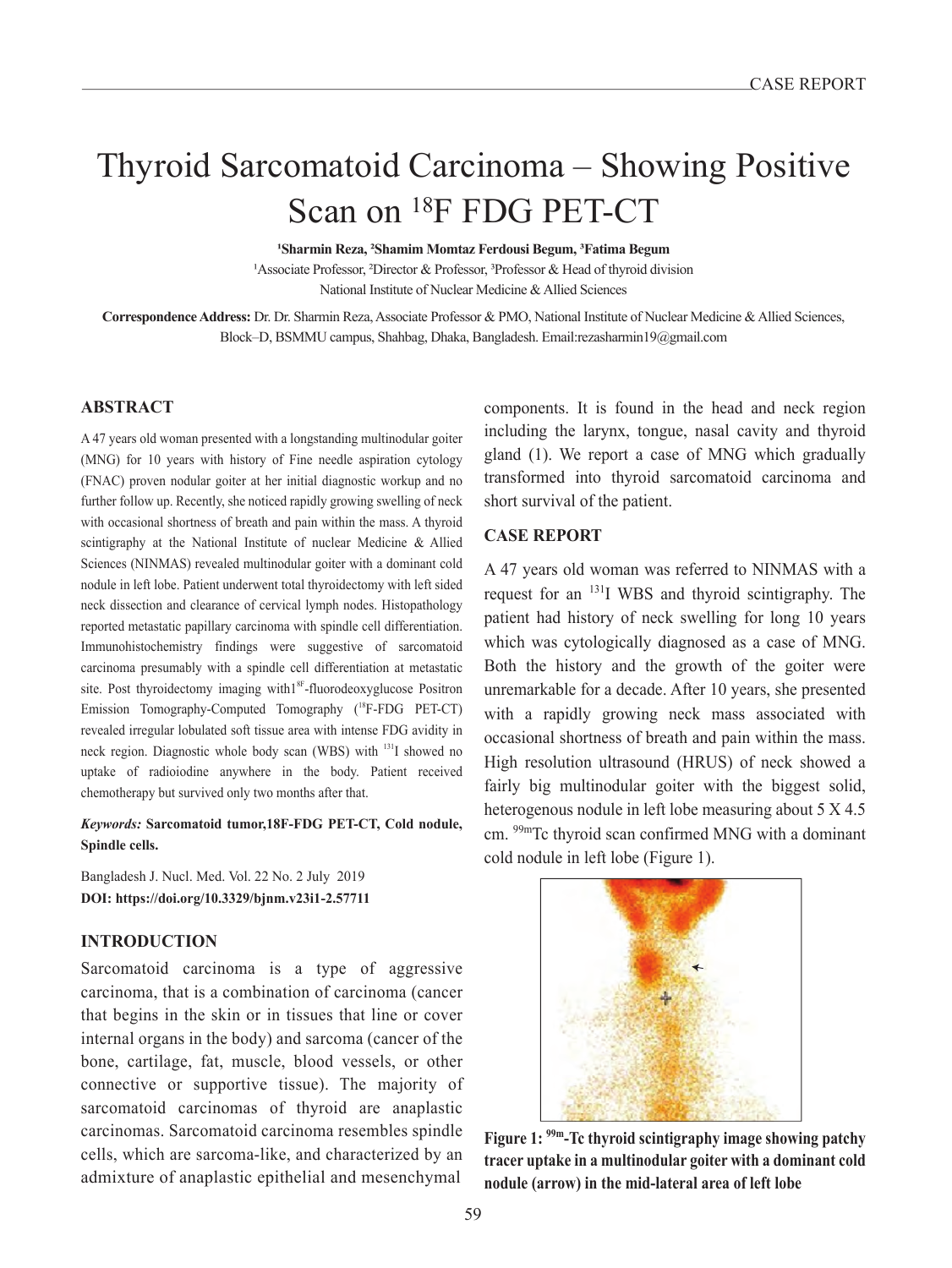# Thyroid Sarcomatoid Carcinoma – Showing Positive Scan on 18F FDG PET-CT

**<sup>1</sup>Sharmin Reza, <sup>2</sup>Shamim Momtaz Ferdousi Begum, <sup>3</sup>Fatima Begum**

<sup>1</sup>Associate Professor, <sup>2</sup>Director & Professor, <sup>3</sup>Professor & Head of thyroid division National Institute of Nuclear Medicine & Allied Sciences

**Correspondence Address:** Dr. Dr. Sharmin Reza, Associate Professor & PMO, National Institute of Nuclear Medicine & Allied Sciences, Block–D, BSMMU campus, Shahbag, Dhaka, Bangladesh. Email:rezasharmin19@gmail.com

## **ABSTRACT**

A 47 years old woman presented with a longstanding multinodular goiter (MNG) for 10 years with history of Fine needle aspiration cytology (FNAC) proven nodular goiter at her initial diagnostic workup and no further follow up. Recently, she noticed rapidly growing swelling of neck with occasional shortness of breath and pain within the mass. A thyroid scintigraphy at the National Institute of nuclear Medicine & Allied Sciences (NINMAS) revealed multinodular goiter with a dominant cold nodule in left lobe. Patient underwent total thyroidectomy with left sided neck dissection and clearance of cervical lymph nodes. Histopathology reported metastatic papillary carcinoma with spindle cell differentiation. Immunohistochemistry findings were suggestive of sarcomatoid carcinoma presumably with a spindle cell differentiation at metastatic site. Post thyroidectomy imaging with1<sup>8F</sup>-fluorodeoxyglucose Positron Emission Tomography-Computed Tomography (<sup>18</sup>F-FDG PET-CT) revealed irregular lobulated soft tissue area with intense FDG avidity in neck region. Diagnostic whole body scan (WBS) with 131I showed no uptake of radioiodine anywhere in the body. Patient received chemotherapy but survived only two months after that.

*Keywords:* **Sarcomatoid tumor,18F-FDG PET-CT, Cold nodule, Spindle cells.**

Bangladesh J. Nucl. Med. Vol. 22 No. 2 July 2019 **DOI: https://doi.org/10.3329/bjnm.v23i1-2.57711**

# **INTRODUCTION**

Sarcomatoid carcinoma is a type of aggressive carcinoma, that is a combination of carcinoma (cancer that begins in the skin or in tissues that line or cover internal organs in the body) and sarcoma (cancer of the bone, cartilage, fat, muscle, blood vessels, or other connective or supportive tissue). The majority of sarcomatoid carcinomas of thyroid are anaplastic carcinomas. Sarcomatoid carcinoma resembles spindle cells, which are sarcoma-like, and characterized by an admixture of anaplastic epithelial and mesenchymal

components. It is found in the head and neck region including the larynx, tongue, nasal cavity and thyroid gland (1). We report a case of MNG which gradually transformed into thyroid sarcomatoid carcinoma and short survival of the patient.

#### **CASE REPORT**

A 47 years old woman was referred to NINMAS with a request for an 131I WBS and thyroid scintigraphy. The patient had history of neck swelling for long 10 years which was cytologically diagnosed as a case of MNG. Both the history and the growth of the goiter were unremarkable for a decade. After 10 years, she presented with a rapidly growing neck mass associated with occasional shortness of breath and pain within the mass. High resolution ultrasound (HRUS) of neck showed a fairly big multinodular goiter with the biggest solid, heterogenous nodule in left lobe measuring about 5 X 4.5 cm. 99mTc thyroid scan confirmed MNG with a dominant cold nodule in left lobe (Figure 1).



**Figure 1: 99m-Tc thyroid scintigraphy image showing patchy tracer uptake in a multinodular goiter with a dominant cold nodule (arrow) in the mid-lateral area of left lobe**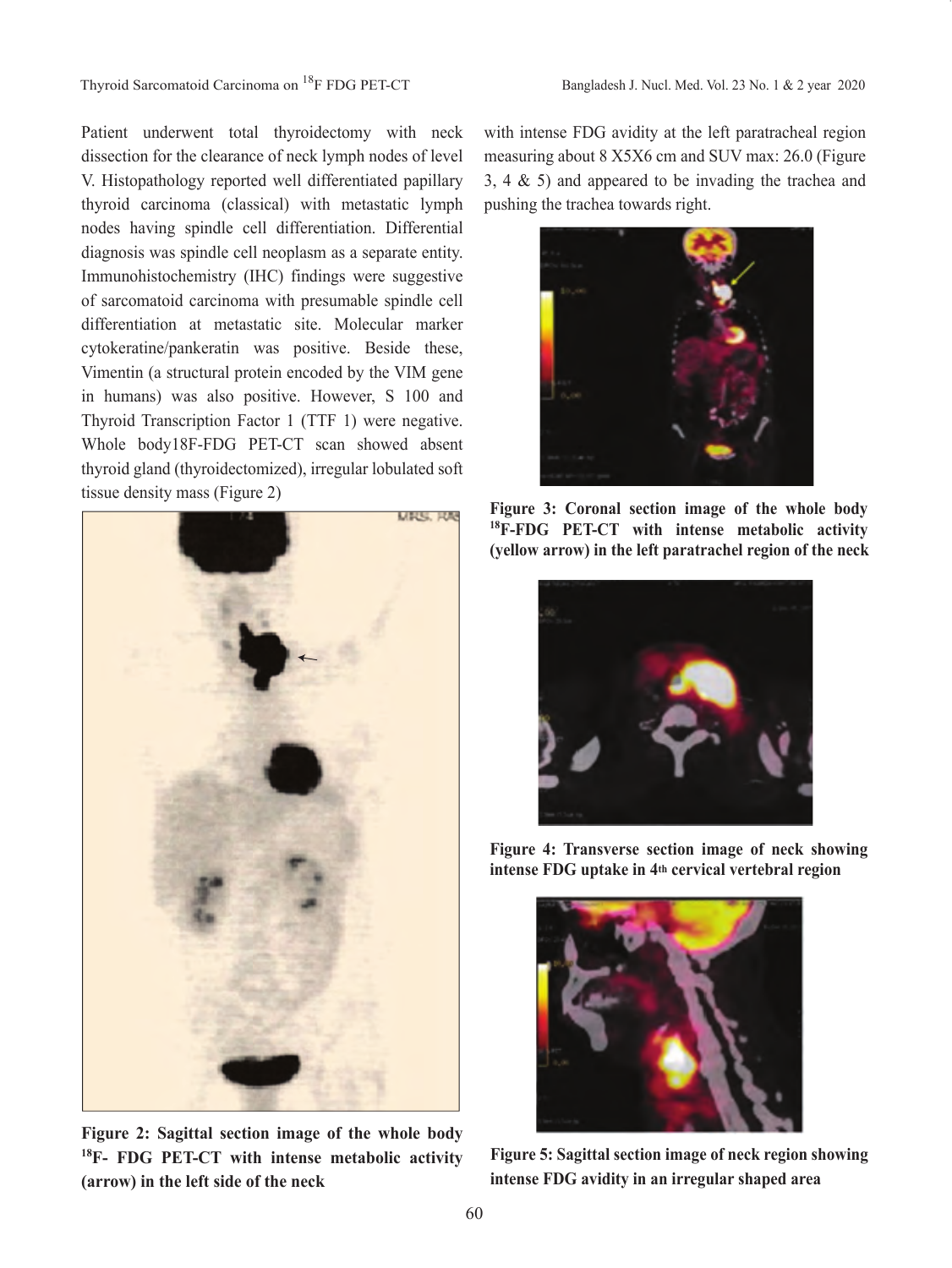Patient underwent total thyroidectomy with neck dissection for the clearance of neck lymph nodes of level V. Histopathology reported well differentiated papillary thyroid carcinoma (classical) with metastatic lymph nodes having spindle cell differentiation. Differential diagnosis was spindle cell neoplasm as a separate entity. Immunohistochemistry (IHC) findings were suggestive of sarcomatoid carcinoma with presumable spindle cell differentiation at metastatic site. Molecular marker cytokeratine/pankeratin was positive. Beside these, Vimentin (a structural protein encoded by the VIM gene in humans) was also positive. However, S 100 and Thyroid Transcription Factor 1 (TTF 1) were negative. Whole body18F-FDG PET-CT scan showed absent thyroid gland (thyroidectomized), irregular lobulated soft tissue density mass (Figure 2)



**Figure 2: Sagittal section image of the whole body 18F- FDG PET-CT with intense metabolic activity (arrow) in the left side of the neck**

with intense FDG avidity at the left paratracheal region measuring about 8 X5X6 cm and SUV max: 26.0 (Figure 3, 4 & 5) and appeared to be invading the trachea and pushing the trachea towards right.



**Figure 3: Coronal section image of the whole body 18F-FDG PET-CT with intense metabolic activity (yellow arrow) in the left paratrachel region of the neck**



**Figure 4: Transverse section image of neck showing intense FDG uptake in 4th cervical vertebral region**



**Figure 5: Sagittal section image of neck region showing intense FDG avidity in an irregular shaped area**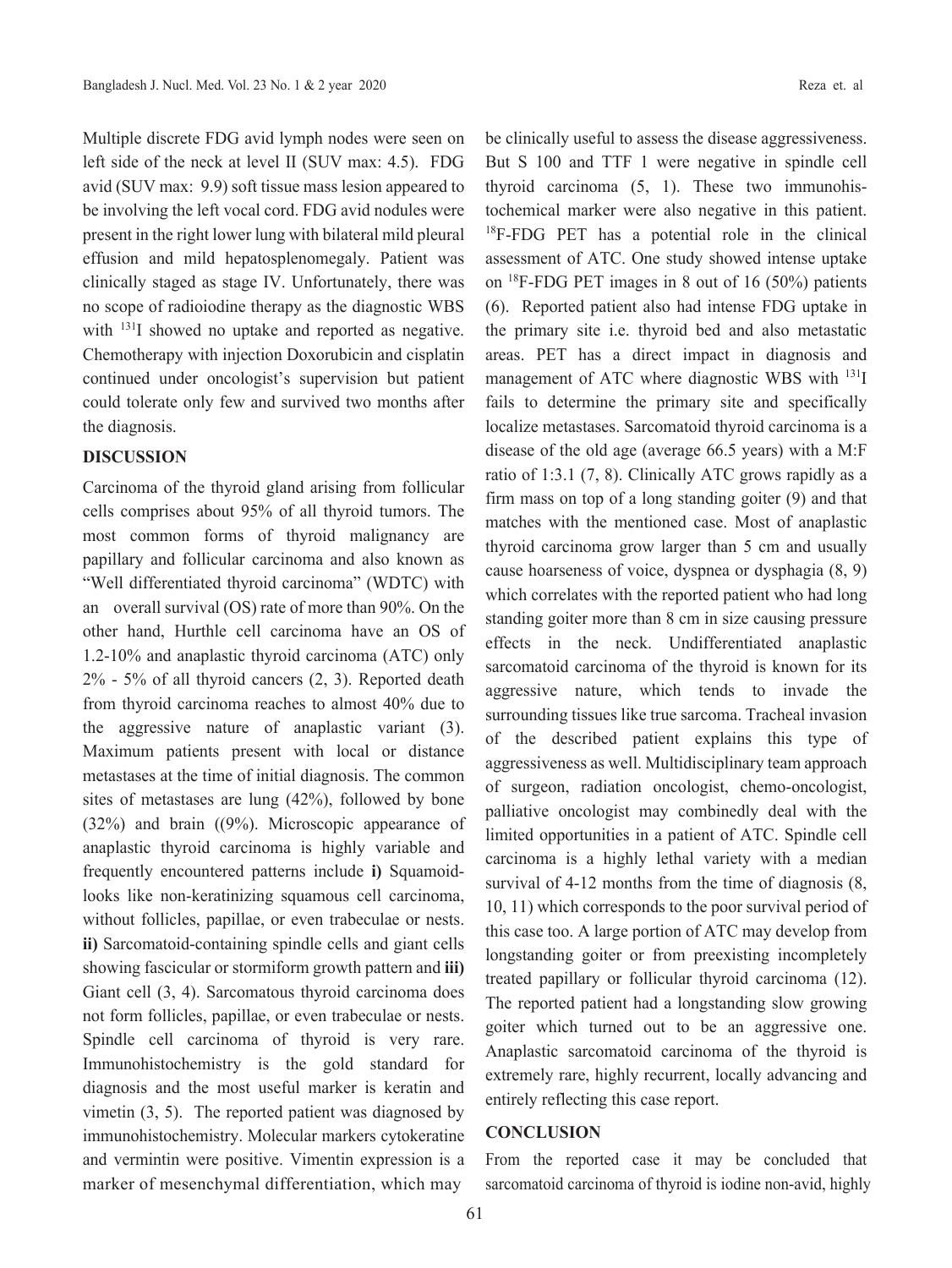Multiple discrete FDG avid lymph nodes were seen on left side of the neck at level II (SUV max: 4.5). FDG avid (SUV max: 9.9) soft tissue mass lesion appeared to be involving the left vocal cord. FDG avid nodules were present in the right lower lung with bilateral mild pleural effusion and mild hepatosplenomegaly. Patient was clinically staged as stage IV. Unfortunately, there was no scope of radioiodine therapy as the diagnostic WBS with <sup>131</sup>I showed no uptake and reported as negative. Chemotherapy with injection Doxorubicin and cisplatin continued under oncologist's supervision but patient could tolerate only few and survived two months after the diagnosis.

## **DISCUSSION**

Carcinoma of the thyroid gland arising from follicular cells comprises about 95% of all thyroid tumors. The most common forms of thyroid malignancy are papillary and follicular carcinoma and also known as "Well differentiated thyroid carcinoma" (WDTC) with an overall survival (OS) rate of more than 90%. On the other hand, Hurthle cell carcinoma have an OS of 1.2-10% and anaplastic thyroid carcinoma (ATC) only 2% - 5% of all thyroid cancers (2, 3). Reported death from thyroid carcinoma reaches to almost 40% due to the aggressive nature of anaplastic variant (3). Maximum patients present with local or distance metastases at the time of initial diagnosis. The common sites of metastases are lung (42%), followed by bone (32%) and brain ((9%). Microscopic appearance of anaplastic thyroid carcinoma is highly variable and frequently encountered patterns include **i)** Squamoidlooks like non-keratinizing squamous cell carcinoma, without follicles, papillae, or even trabeculae or nests. **ii)** Sarcomatoid-containing spindle cells and giant cells showing fascicular or stormiform growth pattern and **iii)**  Giant cell (3, 4). Sarcomatous thyroid carcinoma does not form follicles, papillae, or even trabeculae or nests. Spindle cell carcinoma of thyroid is very rare. Immunohistochemistry is the gold standard for diagnosis and the most useful marker is keratin and vimetin (3, 5). The reported patient was diagnosed by immunohistochemistry. Molecular markers cytokeratine and vermintin were positive. Vimentin expression is a marker of mesenchymal differentiation, which may

be clinically useful to assess the disease aggressiveness. But S 100 and TTF 1 were negative in spindle cell thyroid carcinoma (5, 1). These two immunohistochemical marker were also negative in this patient. <sup>18</sup>F-FDG PET has a potential role in the clinical assessment of ATC. One study showed intense uptake on 18F-FDG PET images in 8 out of 16 (50%) patients (6). Reported patient also had intense FDG uptake in the primary site i.e. thyroid bed and also metastatic areas. PET has a direct impact in diagnosis and management of ATC where diagnostic WBS with <sup>131</sup>I fails to determine the primary site and specifically localize metastases. Sarcomatoid thyroid carcinoma is a disease of the old age (average 66.5 years) with a M:F ratio of 1:3.1 (7, 8). Clinically ATC grows rapidly as a firm mass on top of a long standing goiter (9) and that matches with the mentioned case. Most of anaplastic thyroid carcinoma grow larger than 5 cm and usually cause hoarseness of voice, dyspnea or dysphagia (8, 9) which correlates with the reported patient who had long standing goiter more than 8 cm in size causing pressure effects in the neck. Undifferentiated anaplastic sarcomatoid carcinoma of the thyroid is known for its aggressive nature, which tends to invade the surrounding tissues like true sarcoma. Tracheal invasion of the described patient explains this type of aggressiveness as well. Multidisciplinary team approach of surgeon, radiation oncologist, chemo-oncologist, palliative oncologist may combinedly deal with the limited opportunities in a patient of ATC. Spindle cell carcinoma is a highly lethal variety with a median survival of 4-12 months from the time of diagnosis  $(8, 1)$ 10, 11) which corresponds to the poor survival period of this case too. A large portion of ATC may develop from longstanding goiter or from preexisting incompletely treated papillary or follicular thyroid carcinoma (12). The reported patient had a longstanding slow growing goiter which turned out to be an aggressive one. Anaplastic sarcomatoid carcinoma of the thyroid is extremely rare, highly recurrent, locally advancing and entirely reflecting this case report.

## **CONCLUSION**

From the reported case it may be concluded that sarcomatoid carcinoma of thyroid is iodine non-avid, highly